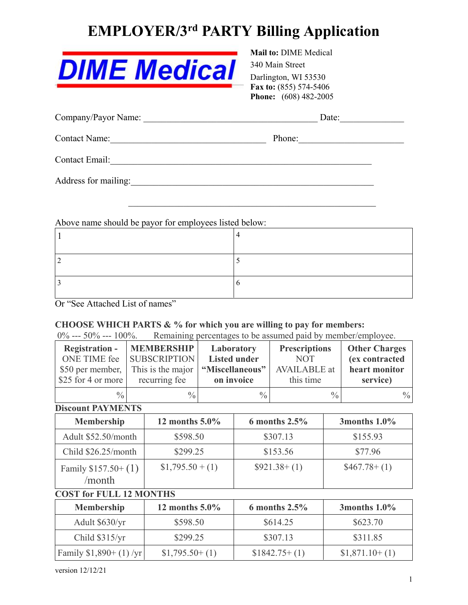# **EMPLOYER/3 rd PARTY Billing Application**

| <b>DIME Medical</b> |  |
|---------------------|--|
|---------------------|--|

### **Mail to:** DIME Medical 340 Main Street Darlington, WI 53530 **Fax to:** (855) 574-5406 **Phone:** (608) 482-2005

| Company/Payor Name:  | Date:  |
|----------------------|--------|
| Contact Name:        | Phone: |
| Contact Email:       |        |
| Address for mailing: |        |

Above name should be payor for employees listed below:

 $\mathcal{L}_\text{max}$  and  $\mathcal{L}_\text{max}$  and  $\mathcal{L}_\text{max}$  and  $\mathcal{L}_\text{max}$  and  $\mathcal{L}_\text{max}$ 

Or "See Attached List of names"

### **CHOOSE WHICH PARTS & % for which you are willing to pay for members:**

0% --- 50% --- 100%. Remaining percentages to be assumed paid by member/employee.

| <b>Registration -</b> | <b>MEMBERSHIP</b>   | Laboratory          | <b>Prescriptions</b> | <b>Other Charges</b> |
|-----------------------|---------------------|---------------------|----------------------|----------------------|
| ONE TIME fee          | <b>SUBSCRIPTION</b> | <b>Listed under</b> | <b>NOT</b>           | (ex contracted       |
| \$50 per member,      | This is the major   | "Miscellaneous"     | <b>AVAILABLE</b> at  | heart monitor        |
| $$25$ for 4 or more   | recurring fee       | on invoice          | this time            | service)             |
| $\frac{0}{0}$         | $\frac{0}{0}$       | $\frac{0}{0}$       | $\frac{0}{0}$        | $\frac{0}{0}$        |

### **Discount PAYMENTS**

| <b>Membership</b>              | 12 months $5.0\%$ | 6 months $2.5\%$ | 3 months $1.0\%$   |
|--------------------------------|-------------------|------------------|--------------------|
| Adult \$52.50/month            | \$598.50          | \$307.13         | \$155.93           |
| Child $$26.25/month$           | \$299.25          | \$153.56         | \$77.96            |
| Family $$157.50+(1)$<br>/month | $$1,795.50 + (1)$ | $$921.38+(1)$    | $$467.78 \div (1)$ |

## **COST for FULL 12 MONTHS**

| <b>Membership</b>       | 12 months $5.0\%$ | 6 months $2.5\%$ | 3months $1.0\%$ |
|-------------------------|-------------------|------------------|-----------------|
| Adult \$630/yr          | \$598.50          | \$614.25         | \$623.70        |
| Child \$315/yr          | \$299.25          | \$307.13         | \$311.85        |
| Family $$1,890+(1)$ /yr | $$1,795.50+(1)$   | $$1842.75+(1)$   | $$1,871.10+(1)$ |